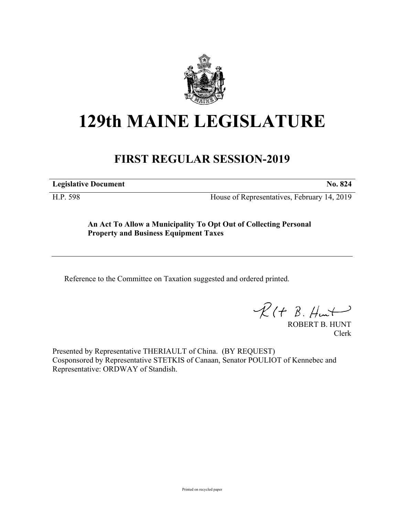

## **129th MAINE LEGISLATURE**

## **FIRST REGULAR SESSION-2019**

**Legislative Document No. 824**

H.P. 598 House of Representatives, February 14, 2019

**An Act To Allow a Municipality To Opt Out of Collecting Personal Property and Business Equipment Taxes**

Reference to the Committee on Taxation suggested and ordered printed.

 $R(H B. Hmt)$ 

ROBERT B. HUNT Clerk

Presented by Representative THERIAULT of China. (BY REQUEST) Cosponsored by Representative STETKIS of Canaan, Senator POULIOT of Kennebec and Representative: ORDWAY of Standish.